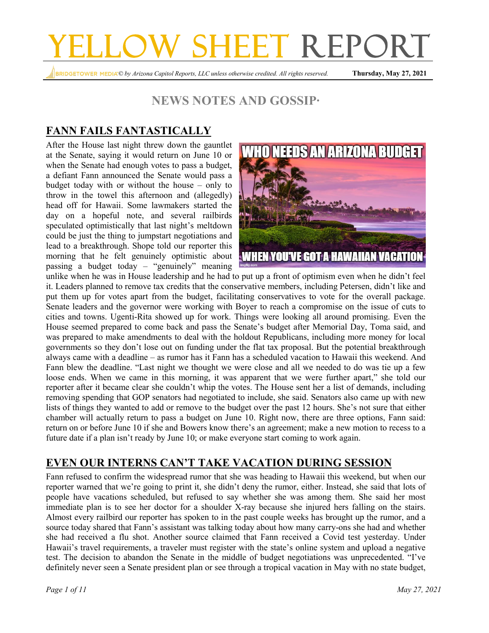# YELLOW SHEET REPORT

*© by Arizona Capitol Reports, LLC unless otherwise credited. All rights reserved.* **Thursday, May 27, 2021**

## **NEWS NOTES AND GOSSIP∙**

## **FANN FAILS FANTASTICALLY**

After the House last night threw down the gauntlet at the Senate, saying it would return on June 10 or when the Senate had enough votes to pass a budget, a defiant Fann announced the Senate would pass a budget today with or without the house – only to throw in the towel this afternoon and (allegedly) head off for Hawaii. Some lawmakers started the day on a hopeful note, and several railbirds speculated optimistically that last night's meltdown could be just the thing to jumpstart negotiations and lead to a breakthrough. Shope told our reporter this morning that he felt genuinely optimistic about passing a budget today – "genuinely" meaning



unlike when he was in House leadership and he had to put up a front of optimism even when he didn't feel it. Leaders planned to remove tax credits that the conservative members, including Petersen, didn't like and put them up for votes apart from the budget, facilitating conservatives to vote for the overall package. Senate leaders and the governor were working with Boyer to reach a compromise on the issue of cuts to cities and towns. Ugenti-Rita showed up for work. Things were looking all around promising. Even the House seemed prepared to come back and pass the Senate's budget after Memorial Day, Toma said, and was prepared to make amendments to deal with the holdout Republicans, including more money for local governments so they don't lose out on funding under the flat tax proposal. But the potential breakthrough always came with a deadline – as rumor has it Fann has a scheduled vacation to Hawaii this weekend. And Fann blew the deadline. "Last night we thought we were close and all we needed to do was tie up a few loose ends. When we came in this morning, it was apparent that we were further apart," she told our reporter after it became clear she couldn't whip the votes. The House sent her a list of demands, including removing spending that GOP senators had negotiated to include, she said. Senators also came up with new lists of things they wanted to add or remove to the budget over the past 12 hours. She's not sure that either chamber will actually return to pass a budget on June 10. Right now, there are three options, Fann said: return on or before June 10 if she and Bowers know there's an agreement; make a new motion to recess to a future date if a plan isn't ready by June 10; or make everyone start coming to work again.

## **EVEN OUR INTERNS CAN'T TAKE VACATION DURING SESSION**

Fann refused to confirm the widespread rumor that she was heading to Hawaii this weekend, but when our reporter warned that we're going to print it, she didn't deny the rumor, either. Instead, she said that lots of people have vacations scheduled, but refused to say whether she was among them. She said her most immediate plan is to see her doctor for a shoulder X-ray because she injured hers falling on the stairs. Almost every railbird our reporter has spoken to in the past couple weeks has brought up the rumor, and a source today shared that Fann's assistant was talking today about how many carry-ons she had and whether she had received a flu shot. Another source claimed that Fann received a Covid test yesterday. Under Hawaii's travel requirements, a traveler must register with the state's online system and upload a negative test. The decision to abandon the Senate in the middle of budget negotiations was unprecedented. "I've definitely never seen a Senate president plan or see through a tropical vacation in May with no state budget,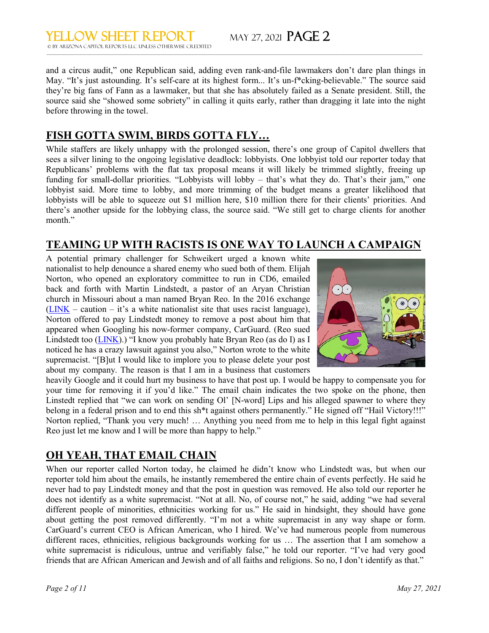and a circus audit," one Republican said, adding even rank-and-file lawmakers don't dare plan things in May. "It's just astounding. It's self-care at its highest form... It's un-f\*cking-believable." The source said they're big fans of Fann as a lawmaker, but that she has absolutely failed as a Senate president. Still, the source said she "showed some sobriety" in calling it quits early, rather than dragging it late into the night before throwing in the towel.

## **FISH GOTTA SWIM, BIRDS GOTTA FLY…**

While staffers are likely unhappy with the prolonged session, there's one group of Capitol dwellers that sees a silver lining to the ongoing legislative deadlock: lobbyists. One lobbyist told our reporter today that Republicans' problems with the flat tax proposal means it will likely be trimmed slightly, freeing up funding for small-dollar priorities. "Lobbyists will lobby – that's what they do. That's their jam," one lobbyist said. More time to lobby, and more trimming of the budget means a greater likelihood that lobbyists will be able to squeeze out \$1 million here, \$10 million there for their clients' priorities. And there's another upside for the lobbying class, the source said. "We still get to charge clients for another month."

## **TEAMING UP WITH RACISTS IS ONE WAY TO LAUNCH A CAMPAIGN**

A potential primary challenger for Schweikert urged a known white nationalist to help denounce a shared enemy who sued both of them. Elijah Norton, who opened an exploratory committee to run in CD6, emailed back and forth with Martin Lindstedt, a pastor of an Aryan Christian church in Missouri about a man named Bryan Reo. In the 2016 exchange  $(LINK - caution - it's a white nationalist site that uses racist language),$  $(LINK - caution - it's a white nationalist site that uses racist language),$ Norton offered to pay Lindstedt money to remove a post about him that appeared when Googling his now-former company, CarGuard. (Reo sued Lindstedt too [\(LINK\)](https://www.capjournal.com/news/white-supremacist-fighting-over-stanley-county-land/article_ce58d398-ed83-11ea-9bdf-63e60471b3ce.html).) "I know you probably hate Bryan Reo (as do I) as I noticed he has a crazy lawsuit against you also," Norton wrote to the white supremacist. "[B]ut I would like to implore you to please delete your post about my company. The reason is that I am in a business that customers



heavily Google and it could hurt my business to have that post up. I would be happy to compensate you for your time for removing it if you'd like." The email chain indicates the two spoke on the phone, then Linstedt replied that "we can work on sending Ol' [N-word] Lips and his alleged spawner to where they belong in a federal prison and to end this sh\*t against others permanently." He signed off "Hail Victory!!!" Norton replied, "Thank you very much! … Anything you need from me to help in this legal fight against Reo just let me know and I will be more than happy to help."

## **OH YEAH, THAT EMAIL CHAIN**

When our reporter called Norton today, he claimed he didn't know who Lindstedt was, but when our reporter told him about the emails, he instantly remembered the entire chain of events perfectly. He said he never had to pay Lindstedt money and that the post in question was removed. He also told our reporter he does not identify as a white supremacist. "Not at all. No, of course not," he said, adding "we had several different people of minorities, ethnicities working for us." He said in hindsight, they should have gone about getting the post removed differently. "I'm not a white supremacist in any way shape or form. CarGuard's current CEO is African American, who I hired. We've had numerous people from numerous different races, ethnicities, religious backgrounds working for us … The assertion that I am somehow a white supremacist is ridiculous, untrue and verifiably false," he told our reporter. "I've had very good friends that are African American and Jewish and of all faiths and religions. So no, I don't identify as that."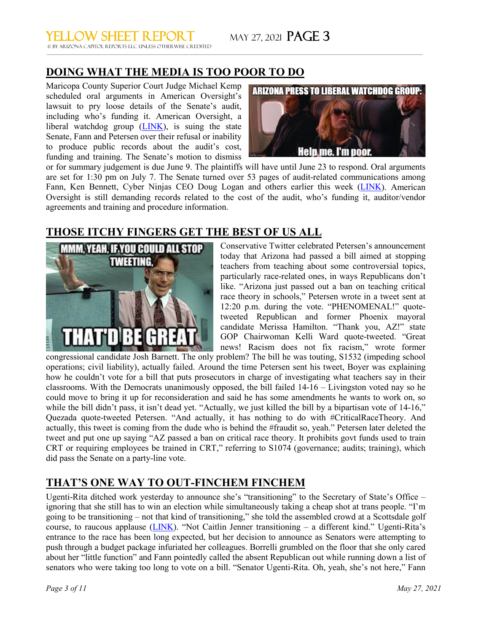## **DOING WHAT THE MEDIA IS TOO POOR TO DO**

Maricopa County Superior Court Judge Michael Kemp scheduled oral arguments in American Oversight's lawsuit to pry loose details of the Senate's audit, including who's funding it. American Oversight, a liberal watchdog group  $(LINK)$ , is suing the state Senate, Fann and Petersen over their refusal or inability to produce public records about the audit's cost, funding and training. The Senate's motion to dismiss



or for summary judgement is due June 9. The plaintiffs will have until June 23 to respond. Oral arguments are set for 1:30 pm on July 7. The Senate turned over 53 pages of audit-related communications among Fann, Ken Bennett, Cyber Ninjas CEO Doug Logan and others earlier this week [\(LINK\)](https://www.americanoversight.org/document/arizona-email-communications-for-state-senators-regarding-maricopa-county-election-audit). American Oversight is still demanding records related to the cost of the audit, who's funding it, auditor/vendor agreements and training and procedure information.

 $\_$  , and the state of the state of the state of the state of the state of the state of the state of the state of the state of the state of the state of the state of the state of the state of the state of the state of the

## **THOSE ITCHY FINGERS GET THE BEST OF US ALL**



Conservative Twitter celebrated Petersen's announcement today that Arizona had passed a bill aimed at stopping teachers from teaching about some controversial topics, particularly race-related ones, in ways Republicans don't like. "Arizona just passed out a ban on teaching critical race theory in schools," Petersen wrote in a tweet sent at 12:20 p.m. during the vote. "PHENOMENAL!" quotetweeted Republican and former Phoenix mayoral candidate Merissa Hamilton. "Thank you, AZ!" state GOP Chairwoman Kelli Ward quote-tweeted. "Great news! Racism does not fix racism," wrote former

congressional candidate Josh Barnett. The only problem? The bill he was touting, S1532 (impeding school operations; civil liability), actually failed. Around the time Petersen sent his tweet, Boyer was explaining how he couldn't vote for a bill that puts prosecutors in charge of investigating what teachers say in their classrooms. With the Democrats unanimously opposed, the bill failed 14-16 – Livingston voted nay so he could move to bring it up for reconsideration and said he has some amendments he wants to work on, so while the bill didn't pass, it isn't dead yet. "Actually, we just killed the bill by a bipartisan vote of 14-16," Quezada quote-tweeted Petersen. "And actually, it has nothing to do with #CriticalRaceTheory. And actually, this tweet is coming from the dude who is behind the #fraudit so, yeah." Petersen later deleted the tweet and put one up saying "AZ passed a ban on critical race theory. It prohibits govt funds used to train CRT or requiring employees be trained in CRT," referring to S1074 (governance; audits; training), which did pass the Senate on a party-line vote.

## **THAT'S ONE WAY TO OUT-FINCHEM FINCHEM**

Ugenti-Rita ditched work yesterday to announce she's "transitioning" to the Secretary of State's Office – ignoring that she still has to win an election while simultaneously taking a cheap shot at trans people. "I'm going to be transitioning – not that kind of transitioning," she told the assembled crowd at a Scottsdale golf course, to raucous applause ( $\underline{LINK}$ ). "Not Caitlin Jenner transitioning – a different kind." Ugenti-Rita's entrance to the race has been long expected, but her decision to announce as Senators were attempting to push through a budget package infuriated her colleagues. Borrelli grumbled on the floor that she only cared about her "little function" and Fann pointedly called the absent Republican out while running down a list of senators who were taking too long to vote on a bill. "Senator Ugenti-Rita. Oh, yeah, she's not here," Fann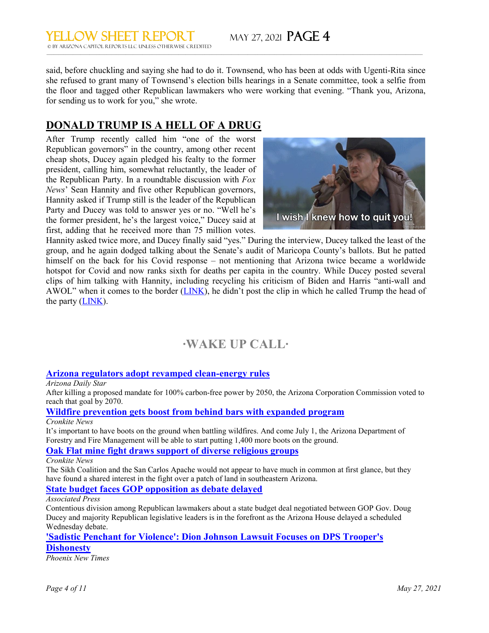said, before chuckling and saying she had to do it. Townsend, who has been at odds with Ugenti-Rita since she refused to grant many of Townsend's election bills hearings in a Senate committee, took a selfie from the floor and tagged other Republican lawmakers who were working that evening. "Thank you, Arizona, for sending us to work for you," she wrote.

 $\_$  , and the state of the state of the state of the state of the state of the state of the state of the state of the state of the state of the state of the state of the state of the state of the state of the state of the

## **DONALD TRUMP IS A HELL OF A DRUG**

After Trump recently called him "one of the worst Republican governors" in the country, among other recent cheap shots, Ducey again pledged his fealty to the former president, calling him, somewhat reluctantly, the leader of the Republican Party. In a roundtable discussion with *Fox News*' Sean Hannity and five other Republican governors, Hannity asked if Trump still is the leader of the Republican Party and Ducey was told to answer yes or no. "Well he's the former president, he's the largest voice," Ducey said at first, adding that he received more than 75 million votes.



Hannity asked twice more, and Ducey finally said "yes." During the interview, Ducey talked the least of the group, and he again dodged talking about the Senate's audit of Maricopa County's ballots. But he patted himself on the back for his Covid response – not mentioning that Arizona twice became a worldwide hotspot for Covid and now ranks sixth for deaths per capita in the country. While Ducey posted several clips of him talking with Hannity, including recycling his criticism of Biden and Harris "anti-wall and AWOL" when it comes to the border [\(LINK\)](https://twitter.com/The_RGA/status/1397972116134412293), he didn't post the clip in which he called Trump the head of the party [\(LINK\)](https://twitter.com/Acyn/status/1397734703201873923?s=20).

## **∙WAKE UP CALL∙**

#### **[Arizona regulators adopt revamped clean-energy rules](https://news.azcapitoltimes.com/acton/ct/22716/s-1436-2105/Bct/q-005d/l-0021:199/ct1_0/1/lu?sid=TV2%3Ayp46PcEY9)**

*Arizona Daily Star*

After killing a proposed mandate for 100% carbon-free power by 2050, the Arizona Corporation Commission voted to reach that goal by 2070.

#### **[Wildfire prevention gets boost from behind bars with expanded program](https://news.azcapitoltimes.com/acton/ct/22716/s-1436-2105/Bct/q-005d/l-0021:199/ct2_0/1/lu?sid=TV2%3Ayp46PcEY9)**

#### *Cronkite News*

It's important to have boots on the ground when battling wildfires. And come July 1, the Arizona Department of Forestry and Fire Management will be able to start putting 1,400 more boots on the ground.

#### **[Oak Flat mine fight draws support of diverse religious groups](https://news.azcapitoltimes.com/acton/ct/22716/s-1436-2105/Bct/q-005d/l-0021:199/ct3_0/1/lu?sid=TV2%3Ayp46PcEY9)**

#### *Cronkite News*

The Sikh Coalition and the San Carlos Apache would not appear to have much in common at first glance, but they have found a shared interest in the fight over a patch of land in southeastern Arizona.

#### **[State budget faces GOP opposition as debate delayed](https://news.azcapitoltimes.com/acton/ct/22716/s-1436-2105/Bct/q-005d/l-0021:199/ct4_0/1/lu?sid=TV2%3Ayp46PcEY9)**

#### *Associated Press*

Contentious division among Republican lawmakers about a state budget deal negotiated between GOP Gov. Doug Ducey and majority Republican legislative leaders is in the forefront as the Arizona House delayed a scheduled Wednesday debate.

#### **['Sadistic Penchant for Violence': Dion Johnson Lawsuit Focuses on DPS Trooper's](https://news.azcapitoltimes.com/acton/ct/22716/s-1436-2105/Bct/q-005d/l-0021:199/ct5_0/1/lu?sid=TV2%3Ayp46PcEY9)  [Dishonesty](https://news.azcapitoltimes.com/acton/ct/22716/s-1436-2105/Bct/q-005d/l-0021:199/ct5_0/1/lu?sid=TV2%3Ayp46PcEY9)**

*Phoenix New Times*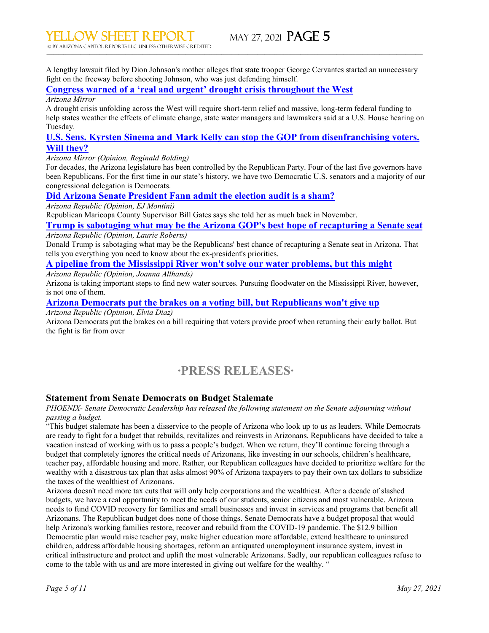A lengthy lawsuit filed by Dion Johnson's mother alleges that state trooper George Cervantes started an unnecessary fight on the freeway before shooting Johnson, who was just defending himself.

 $\_$  , and the state of the state of the state of the state of the state of the state of the state of the state of the state of the state of the state of the state of the state of the state of the state of the state of the

#### **[Congress warned of a 'real and urgent' drought crisis throughout the West](https://news.azcapitoltimes.com/acton/ct/22716/s-1436-2105/Bct/q-005d/l-0021:199/ct6_0/1/lu?sid=TV2%3Ayp46PcEY9)**

#### *Arizona Mirror*

A drought crisis unfolding across the West will require short-term relief and massive, long-term federal funding to help states weather the effects of climate change, state water managers and lawmakers said at a U.S. House hearing on Tuesday.

#### **[U.S. Sens. Kyrsten Sinema and Mark Kelly can stop the GOP from disenfranchising voters.](https://news.azcapitoltimes.com/acton/ct/22716/s-1436-2105/Bct/q-005d/l-0021:199/ct7_0/1/lu?sid=TV2%3Ayp46PcEY9)  [Will they?](https://news.azcapitoltimes.com/acton/ct/22716/s-1436-2105/Bct/q-005d/l-0021:199/ct7_0/1/lu?sid=TV2%3Ayp46PcEY9)**

*Arizona Mirror (Opinion, Reginald Bolding)*

For decades, the Arizona legislature has been controlled by the Republican Party. Four of the last five governors have been Republicans. For the first time in our state's history, we have two Democratic U.S. senators and a majority of our congressional delegation is Democrats.

#### **[Did Arizona Senate President Fann admit the election audit is a sham?](https://news.azcapitoltimes.com/acton/ct/22716/s-1436-2105/Bct/q-005d/l-0021:199/ct8_0/1/lu?sid=TV2%3Ayp46PcEY9)**

*Arizona Republic (Opinion, EJ Montini)*

Republican Maricopa County Supervisor Bill Gates says she told her as much back in November.

**Trump is sabotaging what may be [the Arizona GOP's best hope of recapturing a Senate seat](https://news.azcapitoltimes.com/acton/ct/22716/s-1436-2105/Bct/q-005d/l-0021:199/ct9_0/1/lu?sid=TV2%3Ayp46PcEY9)** *Arizona Republic (Opinion, Laurie Roberts)*

Donald Trump is sabotaging what may be the Republicans' best chance of recapturing a Senate seat in Arizona. That tells you everything you need to know about the ex-president's priorities.

#### **[A pipeline from the Mississippi River won't solve our water problems, but this might](https://news.azcapitoltimes.com/acton/ct/22716/s-1436-2105/Bct/q-005d/l-0021:199/ct10_0/1/lu?sid=TV2%3Ayp46PcEY9)**

*Arizona Republic (Opinion, Joanna Allhands)*

Arizona is taking important steps to find new water sources. Pursuing floodwater on the Mississippi River, however, is not one of them.

#### **[Arizona Democrats put the brakes on a voting bill, but Republicans won't give up](https://news.azcapitoltimes.com/acton/ct/22716/s-1436-2105/Bct/q-005d/l-0021:199/ct11_0/1/lu?sid=TV2%3Ayp46PcEY9)**

*Arizona Republic (Opinion, Elvia Diaz)*

Arizona Democrats put the brakes on a bill requiring that voters provide proof when returning their early ballot. But the fight is far from over

## **∙PRESS RELEASES∙**

#### **Statement from Senate Democrats on Budget Stalemate**

*PHOENIX- Senate Democratic Leadership has released the following statement on the Senate adjourning without passing a budget.*

"This budget stalemate has been a disservice to the people of Arizona who look up to us as leaders. While Democrats are ready to fight for a budget that rebuilds, revitalizes and reinvests in Arizonans, Republicans have decided to take a vacation instead of working with us to pass a people's budget. When we return, they'll continue forcing through a budget that completely ignores the critical needs of Arizonans, like investing in our schools, children's healthcare, teacher pay, affordable housing and more. Rather, our Republican colleagues have decided to prioritize welfare for the wealthy with a disastrous tax plan that asks almost 90% of Arizona taxpayers to pay their own tax dollars to subsidize the taxes of the wealthiest of Arizonans.

Arizona doesn't need more tax cuts that will only help corporations and the wealthiest. After a decade of slashed budgets, we have a real opportunity to meet the needs of our students, senior citizens and most vulnerable. Arizona needs to fund COVID recovery for families and small businesses and invest in services and programs that benefit all Arizonans. The Republican budget does none of those things. Senate Democrats have a budget proposal that would help Arizona's working families restore, recover and rebuild from the COVID-19 pandemic. The \$12.9 billion Democratic plan would raise teacher pay, make higher education more affordable, extend healthcare to uninsured children, address affordable housing shortages, reform an antiquated unemployment insurance system, invest in critical infrastructure and protect and uplift the most vulnerable Arizonans. Sadly, our republican colleagues refuse to come to the table with us and are more interested in giving out welfare for the wealthy. "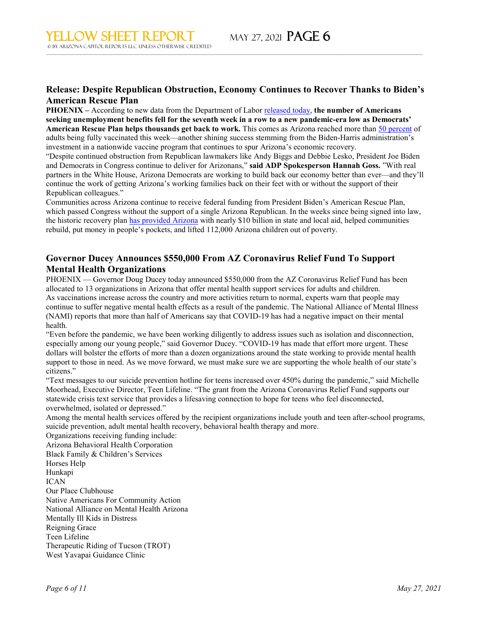#### **Release: Despite Republican Obstruction, Economy Continues to Recover Thanks to Biden's American Rescue Plan**

 $\_$  , and the state of the state of the state of the state of the state of the state of the state of the state of the state of the state of the state of the state of the state of the state of the state of the state of the

**PHOENIX –** According to new data from the Department of Labor [released today,](https://azdem.us15.list-manage.com/track/click?u=e07abe0b5244496f614006119&id=b77e5e2047&e=38ae958e9d) **the number of Americans seeking unemployment benefits fell for the seventh week in a row to a new pandemic-era low as Democrats' American Rescue Plan helps thousands get back to work.** This comes as Arizona reached more than [50 percent](https://azdem.us15.list-manage.com/track/click?u=e07abe0b5244496f614006119&id=71a5bd153d&e=38ae958e9d) of adults being fully vaccinated this week—another shining success stemming from the Biden-Harris administration's investment in a nationwide vaccine program that continues to spur Arizona's economic recovery.

"Despite continued obstruction from Republican lawmakers like Andy Biggs and Debbie Lesko, President Joe Biden and Democrats in Congress continue to deliver for Arizonans," **said ADP Spokesperson Hannah Goss.** "With real partners in the White House, Arizona Democrats are working to build back our economy better than ever—and they'll continue the work of getting Arizona's working families back on their feet with or without the support of their Republican colleagues."

Communities across Arizona continue to receive federal funding from President Biden's American Rescue Plan, which passed Congress without the support of a single Arizona Republican. In the weeks since being signed into law, the historic recovery plan [has provided Arizona](https://azdem.us15.list-manage.com/track/click?u=e07abe0b5244496f614006119&id=09643dab7b&e=38ae958e9d) with nearly \$10 billion in state and local aid, helped communities rebuild, put money in people's pockets, and lifted 112,000 Arizona children out of poverty.

#### **Governor Ducey Announces \$550,000 From AZ Coronavirus Relief Fund To Support Mental Health Organizations**

PHOENIX — Governor Doug Ducey today announced \$550,000 from the AZ Coronavirus Relief Fund has been allocated to 13 organizations in Arizona that offer mental health support services for adults and children. As vaccinations increase across the country and more activities return to normal, experts warn that people may continue to suffer negative mental health effects as a result of the pandemic. The National Alliance of Mental Illness (NAMI) reports that more than half of Americans say that COVID-19 has had a negative impact on their mental health.

"Even before the pandemic, we have been working diligently to address issues such as isolation and disconnection, especially among our young people," said Governor Ducey. "COVID-19 has made that effort more urgent. These dollars will bolster the efforts of more than a dozen organizations around the state working to provide mental health support to those in need. As we move forward, we must make sure we are supporting the whole health of our state's citizens."

"Text messages to our suicide prevention hotline for teens increased over 450% during the pandemic," said Michelle Moorhead, Executive Director, Teen Lifeline. "The grant from the Arizona Coronavirus Relief Fund supports our statewide crisis text service that provides a lifesaving connection to hope for teens who feel disconnected, overwhelmed, isolated or depressed."

Among the mental health services offered by the recipient organizations include youth and teen after-school programs, suicide prevention, adult mental health recovery, behavioral health therapy and more.

Organizations receiving funding include: Arizona Behavioral Health Corporation Black Family & Children's Services Horses Help Hunkapi ICAN Our Place Clubhouse Native Americans For Community Action National Alliance on Mental Health Arizona Mentally Ill Kids in Distress Reigning Grace Teen Lifeline Therapeutic Riding of Tucson (TROT) West Yavapai Guidance Clinic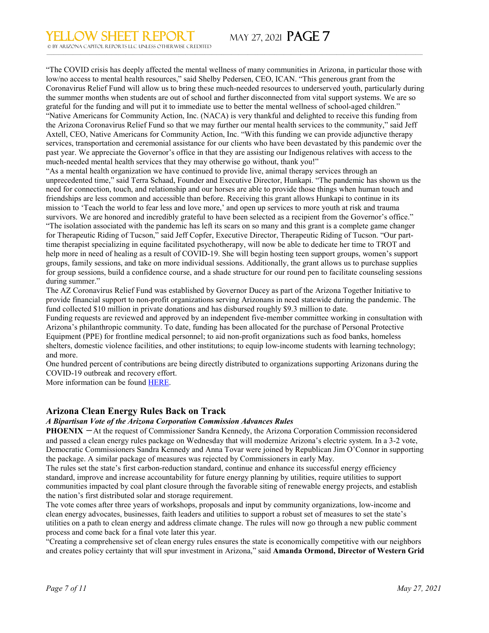"The COVID crisis has deeply affected the mental wellness of many communities in Arizona, in particular those with low/no access to mental health resources," said Shelby Pedersen, CEO, ICAN. "This generous grant from the Coronavirus Relief Fund will allow us to bring these much-needed resources to underserved youth, particularly during the summer months when students are out of school and further disconnected from vital support systems. We are so grateful for the funding and will put it to immediate use to better the mental wellness of school-aged children." "Native Americans for Community Action, Inc. (NACA) is very thankful and delighted to receive this funding from the Arizona Coronavirus Relief Fund so that we may further our mental health services to the community," said Jeff Axtell, CEO, Native Americans for Community Action, Inc. "With this funding we can provide adjunctive therapy services, transportation and ceremonial assistance for our clients who have been devastated by this pandemic over the past year. We appreciate the Governor's office in that they are assisting our Indigenous relatives with access to the much-needed mental health services that they may otherwise go without, thank you!"

 $\_$  , and the state of the state of the state of the state of the state of the state of the state of the state of the state of the state of the state of the state of the state of the state of the state of the state of the

"As a mental health organization we have continued to provide live, animal therapy services through an unprecedented time," said Terra Schaad, Founder and Executive Director, Hunkapi. "The pandemic has shown us the need for connection, touch, and relationship and our horses are able to provide those things when human touch and friendships are less common and accessible than before. Receiving this grant allows Hunkapi to continue in its mission to 'Teach the world to fear less and love more,' and open up services to more youth at risk and trauma survivors. We are honored and incredibly grateful to have been selected as a recipient from the Governor's office." "The isolation associated with the pandemic has left its scars on so many and this grant is a complete game changer for Therapeutic Riding of Tucson," said Jeff Copfer, Executive Director, Therapeutic Riding of Tucson. "Our parttime therapist specializing in equine facilitated psychotherapy, will now be able to dedicate her time to TROT and help more in need of healing as a result of COVID-19. She will begin hosting teen support groups, women's support groups, family sessions, and take on more individual sessions. Additionally, the grant allows us to purchase supplies for group sessions, build a confidence course, and a shade structure for our round pen to facilitate counseling sessions during summer."

The AZ Coronavirus Relief Fund was established by Governor Ducey as part of the Arizona Together Initiative to provide financial support to non-profit organizations serving Arizonans in need statewide during the pandemic. The fund collected \$10 million in private donations and has disbursed roughly \$9.3 million to date.

Funding requests are reviewed and approved by an independent five-member committee working in consultation with Arizona's philanthropic community. To date, funding has been allocated for the purchase of Personal Protective Equipment (PPE) for frontline medical personnel; to aid non-profit organizations such as food banks, homeless shelters, domestic violence facilities, and other institutions; to equip low-income students with learning technology; and more.

One hundred percent of contributions are being directly distributed to organizations supporting Arizonans during the COVID-19 outbreak and recovery effort.

More information can be foun[d HERE.](https://azgovernor.us3.list-manage.com/track/click?u=92fdf4d2c03bdcc82721f4a7b&id=37a38d07b4&e=273f410a40)

#### **Arizona Clean Energy Rules Back on Track**

#### *A Bipartisan Vote of the Arizona Corporation Commission Advances Rules*

**PHOENIX** —At the request of Commissioner Sandra Kennedy, the Arizona Corporation Commission reconsidered and passed a clean energy rules package on Wednesday that will modernize Arizona's electric system. In a 3-2 vote, Democratic Commissioners Sandra Kennedy and Anna Tovar were joined by Republican Jim O'Connor in supporting the package. A similar package of measures was rejected by Commissioners in early May.

The rules set the state's first carbon-reduction standard, continue and enhance its successful energy efficiency standard, improve and increase accountability for future energy planning by utilities, require utilities to support communities impacted by coal plant closure through the favorable siting of renewable energy projects, and establish the nation's first distributed solar and storage requirement.

The vote comes after three years of workshops, proposals and input by community organizations, low-income and clean energy advocates, businesses, faith leaders and utilities to support a robust set of measures to set the state's utilities on a path to clean energy and address climate change. The rules will now go through a new public comment process and come back for a final vote later this year.

"Creating a comprehensive set of clean energy rules ensures the state is economically competitive with our neighbors and creates policy certainty that will spur investment in Arizona," said **Amanda Ormond, Director of Western Grid**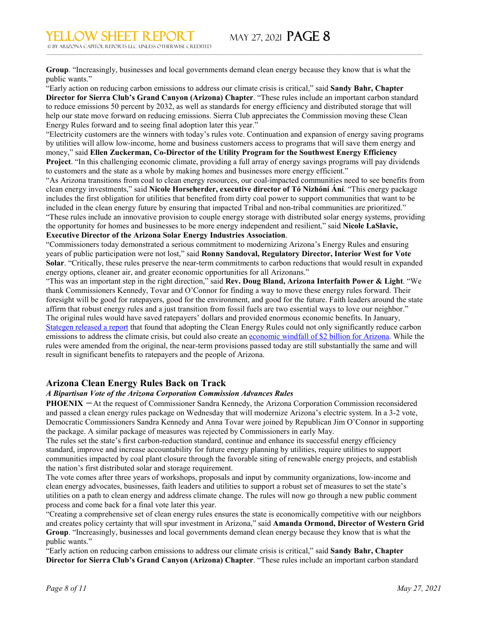© by ARIZONA CAPITOL REPORTS LLC UNLESS OTHERWISE CREDITED

**Group**. "Increasingly, businesses and local governments demand clean energy because they know that is what the public wants."

 $\_$  , and the state of the state of the state of the state of the state of the state of the state of the state of the state of the state of the state of the state of the state of the state of the state of the state of the

"Early action on reducing carbon emissions to address our climate crisis is critical," said **Sandy Bahr, Chapter Director for Sierra Club's Grand Canyon (Arizona) Chapter**. "These rules include an important carbon standard to reduce emissions 50 percent by 2032, as well as standards for energy efficiency and distributed storage that will help our state move forward on reducing emissions. Sierra Club appreciates the Commission moving these Clean Energy Rules forward and to seeing final adoption later this year."

"Electricity customers are the winners with today's rules vote. Continuation and expansion of energy saving programs by utilities will allow low-income, home and business customers access to programs that will save them energy and money," said **Ellen Zuckerman, Co-Director of the Utility Program for the Southwest Energy Efficiency Project**. "In this challenging economic climate, providing a full array of energy savings programs will pay dividends to customers and the state as a whole by making homes and businesses more energy efficient."

"As Arizona transitions from coal to clean energy resources, our coal-impacted communities need to see benefits from clean energy investments," said **Nicole Horseherder, executive director of Tó Nizhóní Ání**. "This energy package includes the first obligation for utilities that benefited from dirty coal power to support communities that want to be included in the clean energy future by ensuring that impacted Tribal and non-tribal communities are prioritized." "These rules include an innovative provision to couple energy storage with distributed solar energy systems, providing the opportunity for homes and businesses to be more energy independent and resilient," said **Nicole LaSlavic, Executive Director of the Arizona Solar Energy Industries Association**.

"Commissioners today demonstrated a serious commitment to modernizing Arizona's Energy Rules and ensuring years of public participation were not lost," said **Ronny Sandoval, Regulatory Director, Interior West for Vote Solar**. "Critically, these rules preserve the near-term commitments to carbon reductions that would result in expanded energy options, cleaner air, and greater economic opportunities for all Arizonans."

"This was an important step in the right direction," said **Rev. Doug Bland, Arizona Interfaith Power & Light**. "We thank Commissioners Kennedy, Tovar and O'Connor for finding a way to move these energy rules forward. Their foresight will be good for ratepayers, good for the environment, and good for the future. Faith leaders around the state affirm that robust energy rules and a just transition from fossil fuels are two essential ways to love our neighbor." The original rules would have saved ratepayers' dollars and provided enormous economic benefits. In January, [Stategen released a report](https://swenergy.org/pubs/arizona-energy-rules-analysis-jan2021) that found that adopting the Clean Energy Rules could not only significantly reduce carbon emissions to address the climate crisis, but could also create an <u>economic windfall of \$2 billion for Arizona</u>. While the rules were amended from the original, the near-term provisions passed today are still substantially the same and will result in significant benefits to ratepayers and the people of Arizona.

#### **Arizona Clean Energy Rules Back on Track**

#### *A Bipartisan Vote of the Arizona Corporation Commission Advances Rules*

**PHOENIX** —At the request of Commissioner Sandra Kennedy, the Arizona Corporation Commission reconsidered and passed a clean energy rules package on Wednesday that will modernize Arizona's electric system. In a 3-2 vote, Democratic Commissioners Sandra Kennedy and Anna Tovar were joined by Republican Jim O'Connor in supporting the package. A similar package of measures was rejected by Commissioners in early May.

The rules set the state's first carbon-reduction standard, continue and enhance its successful energy efficiency standard, improve and increase accountability for future energy planning by utilities, require utilities to support communities impacted by coal plant closure through the favorable siting of renewable energy projects, and establish the nation's first distributed solar and storage requirement.

The vote comes after three years of workshops, proposals and input by community organizations, low-income and clean energy advocates, businesses, faith leaders and utilities to support a robust set of measures to set the state's utilities on a path to clean energy and address climate change. The rules will now go through a new public comment process and come back for a final vote later this year.

"Creating a comprehensive set of clean energy rules ensures the state is economically competitive with our neighbors and creates policy certainty that will spur investment in Arizona," said **Amanda Ormond, Director of Western Grid Group**. "Increasingly, businesses and local governments demand clean energy because they know that is what the public wants."

"Early action on reducing carbon emissions to address our climate crisis is critical," said **Sandy Bahr, Chapter Director for Sierra Club's Grand Canyon (Arizona) Chapter**. "These rules include an important carbon standard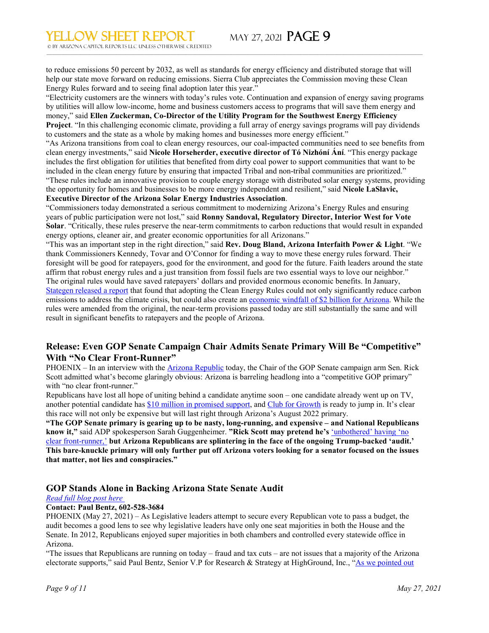to reduce emissions 50 percent by 2032, as well as standards for energy efficiency and distributed storage that will help our state move forward on reducing emissions. Sierra Club appreciates the Commission moving these Clean Energy Rules forward and to seeing final adoption later this year."

 $\_$  , and the state of the state of the state of the state of the state of the state of the state of the state of the state of the state of the state of the state of the state of the state of the state of the state of the

"Electricity customers are the winners with today's rules vote. Continuation and expansion of energy saving programs by utilities will allow low-income, home and business customers access to programs that will save them energy and money," said **Ellen Zuckerman, Co-Director of the Utility Program for the Southwest Energy Efficiency Project**. "In this challenging economic climate, providing a full array of energy savings programs will pay dividends to customers and the state as a whole by making homes and businesses more energy efficient."

"As Arizona transitions from coal to clean energy resources, our coal-impacted communities need to see benefits from clean energy investments," said **Nicole Horseherder, executive director of Tó Nizhóní Ání**. "This energy package includes the first obligation for utilities that benefited from dirty coal power to support communities that want to be included in the clean energy future by ensuring that impacted Tribal and non-tribal communities are prioritized." "These rules include an innovative provision to couple energy storage with distributed solar energy systems, providing the opportunity for homes and businesses to be more energy independent and resilient," said **Nicole LaSlavic,** 

**Executive Director of the Arizona Solar Energy Industries Association**.

"Commissioners today demonstrated a serious commitment to modernizing Arizona's Energy Rules and ensuring years of public participation were not lost," said **Ronny Sandoval, Regulatory Director, Interior West for Vote Solar**. "Critically, these rules preserve the near-term commitments to carbon reductions that would result in expanded energy options, cleaner air, and greater economic opportunities for all Arizonans."

"This was an important step in the right direction," said **Rev. Doug Bland, Arizona Interfaith Power & Light**. "We thank Commissioners Kennedy, Tovar and O'Connor for finding a way to move these energy rules forward. Their foresight will be good for ratepayers, good for the environment, and good for the future. Faith leaders around the state affirm that robust energy rules and a just transition from fossil fuels are two essential ways to love our neighbor." The original rules would have saved ratepayers' dollars and provided enormous economic benefits. In January, [Stategen released a report](https://swenergy.org/pubs/arizona-energy-rules-analysis-jan2021) that found that adopting the Clean Energy Rules could not only significantly reduce carbon emissions to address the climate crisis, but could also create an [economic windfall of \\$2 billion for Arizona.](https://swenergy.org/press-release?PressID=280) While the rules were amended from the original, the near-term provisions passed today are still substantially the same and will result in significant benefits to ratepayers and the people of Arizona.

#### **Release: Even GOP Senate Campaign Chair Admits Senate Primary Will Be "Competitive" With "No Clear Front-Runner"**

PHOENIX – In an interview with the **[Arizona Republic](https://azdem.us15.list-manage.com/track/click?u=e07abe0b5244496f614006119&id=053355bb07&e=38ae958e9d)** today, the Chair of the GOP Senate campaign arm Sen. Rick Scott admitted what's become glaringly obvious: Arizona is barreling headlong into a "competitive GOP primary" with "no clear front-runner."

Republicans have lost all hope of uniting behind a candidate anytime soon – one candidate already went up on TV, another potential candidate has [\\$10 million in promised support,](https://azdem.us15.list-manage.com/track/click?u=e07abe0b5244496f614006119&id=4cb86462f1&e=38ae958e9d) and [Club for Growth](https://azdem.us15.list-manage.com/track/click?u=e07abe0b5244496f614006119&id=b5dfc05fab&e=38ae958e9d) is ready to jump in. It's clear this race will not only be expensive but will last right through Arizona's August 2022 primary.

**"The GOP Senate primary is gearing up to be nasty, long-running, and expensive – and National Republicans know it,"** said ADP spokesperson Sarah Guggenheimer. **"Rick Scott may pretend he's** ['unbothered'](https://azdem.us15.list-manage.com/track/click?u=e07abe0b5244496f614006119&id=85cd3b2f7e&e=38ae958e9d) having 'no [clear front-runner,'](https://azdem.us15.list-manage.com/track/click?u=e07abe0b5244496f614006119&id=85cd3b2f7e&e=38ae958e9d) **but Arizona Republicans are splintering in the face of the ongoing Trump-backed 'audit.' This bare-knuckle primary will only further put off Arizona voters looking for a senator focused on the issues that matter, not lies and conspiracies."**

#### **GOP Stands Alone in Backing Arizona State Senate Audit**

#### *[Read full blog post here](https://cts.vresp.com/c/?HG/4fa53ab1e5/78b7ddfddd/34bc7a52bb)*

#### **Contact: Paul Bentz, 602-528-3684**

PHOENIX (May 27, 2021) – As Legislative leaders attempt to secure every Republican vote to pass a budget, the audit becomes a good lens to see why legislative leaders have only one seat majorities in both the House and the Senate. In 2012, Republicans enjoyed super majorities in both chambers and controlled every statewide office in Arizona.

"The issues that Republicans are running on today – fraud and tax cuts – are not issues that a majority of the Arizona electorate supports," said Paul Bentz, Senior V.P for Research & Strategy at HighGround, Inc., "As we pointed out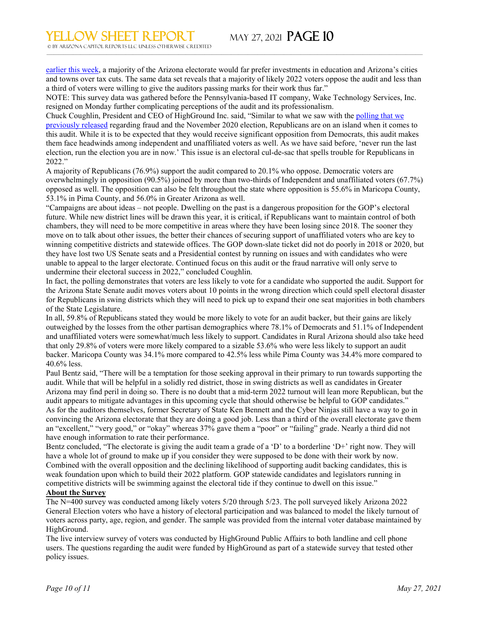[earlier this week,](https://cts.vresp.com/c/?HG/4fa53ab1e5/78b7ddfddd/d1bfe80272) a majority of the Arizona electorate would far prefer investments in education and Arizona's cities and towns over tax cuts. The same data set reveals that a majority of likely 2022 voters oppose the audit and less than a third of voters were willing to give the auditors passing marks for their work thus far."

 $\_$  , and the state of the state of the state of the state of the state of the state of the state of the state of the state of the state of the state of the state of the state of the state of the state of the state of the

NOTE: This survey data was gathered before the Pennsylvania-based IT company, Wake Technology Services, Inc. resigned on Monday further complicating perceptions of the audit and its professionalism.

Chuck Coughlin, President and CEO of HighGround Inc. said, "Similar to what we saw with the [polling that we](https://cts.vresp.com/c/?HG/4fa53ab1e5/78b7ddfddd/d8cb67cdb2)  [previously released](https://cts.vresp.com/c/?HG/4fa53ab1e5/78b7ddfddd/d8cb67cdb2) regarding fraud and the November 2020 election, Republicans are on an island when it comes to this audit. While it is to be expected that they would receive significant opposition from Democrats, this audit makes them face headwinds among independent and unaffiliated voters as well. As we have said before, 'never run the last election, run the election you are in now.' This issue is an electoral cul-de-sac that spells trouble for Republicans in 2022."

A majority of Republicans (76.9%) support the audit compared to 20.1% who oppose. Democratic voters are overwhelmingly in opposition (90.5%) joined by more than two-thirds of Independent and unaffiliated voters (67.7%) opposed as well. The opposition can also be felt throughout the state where opposition is 55.6% in Maricopa County, 53.1% in Pima County, and 56.0% in Greater Arizona as well.

"Campaigns are about ideas – not people. Dwelling on the past is a dangerous proposition for the GOP's electoral future. While new district lines will be drawn this year, it is critical, if Republicans want to maintain control of both chambers, they will need to be more competitive in areas where they have been losing since 2018. The sooner they move on to talk about other issues, the better their chances of securing support of unaffiliated voters who are key to winning competitive districts and statewide offices. The GOP down-slate ticket did not do poorly in 2018 or 2020, but they have lost two US Senate seats and a Presidential contest by running on issues and with candidates who were unable to appeal to the larger electorate. Continued focus on this audit or the fraud narrative will only serve to undermine their electoral success in 2022," concluded Coughlin.

In fact, the polling demonstrates that voters are less likely to vote for a candidate who supported the audit. Support for the Arizona State Senate audit moves voters about 10 points in the wrong direction which could spell electoral disaster for Republicans in swing districts which they will need to pick up to expand their one seat majorities in both chambers of the State Legislature.

In all, 59.8% of Republicans stated they would be more likely to vote for an audit backer, but their gains are likely outweighed by the losses from the other partisan demographics where 78.1% of Democrats and 51.1% of Independent and unaffiliated voters were somewhat/much less likely to support. Candidates in Rural Arizona should also take heed that only 29.8% of voters were more likely compared to a sizable 53.6% who were less likely to support an audit backer. Maricopa County was 34.1% more compared to 42.5% less while Pima County was 34.4% more compared to 40.6% less.

Paul Bentz said, "There will be a temptation for those seeking approval in their primary to run towards supporting the audit. While that will be helpful in a solidly red district, those in swing districts as well as candidates in Greater Arizona may find peril in doing so. There is no doubt that a mid-term 2022 turnout will lean more Republican, but the audit appears to mitigate advantages in this upcoming cycle that should otherwise be helpful to GOP candidates." As for the auditors themselves, former Secretary of State Ken Bennett and the Cyber Ninjas still have a way to go in convincing the Arizona electorate that they are doing a good job. Less than a third of the overall electorate gave them an "excellent," "very good," or "okay" whereas 37% gave them a "poor" or "failing" grade. Nearly a third did not have enough information to rate their performance.

Bentz concluded, "The electorate is giving the audit team a grade of a 'D' to a borderline 'D+' right now. They will have a whole lot of ground to make up if you consider they were supposed to be done with their work by now. Combined with the overall opposition and the declining likelihood of supporting audit backing candidates, this is weak foundation upon which to build their 2022 platform. GOP statewide candidates and legislators running in competitive districts will be swimming against the electoral tide if they continue to dwell on this issue."

#### **About the Survey**

The N=400 survey was conducted among likely voters 5/20 through 5/23. The poll surveyed likely Arizona 2022 General Election voters who have a history of electoral participation and was balanced to model the likely turnout of voters across party, age, region, and gender. The sample was provided from the internal voter database maintained by HighGround.

The live interview survey of voters was conducted by HighGround Public Affairs to both landline and cell phone users. The questions regarding the audit were funded by HighGround as part of a statewide survey that tested other policy issues.